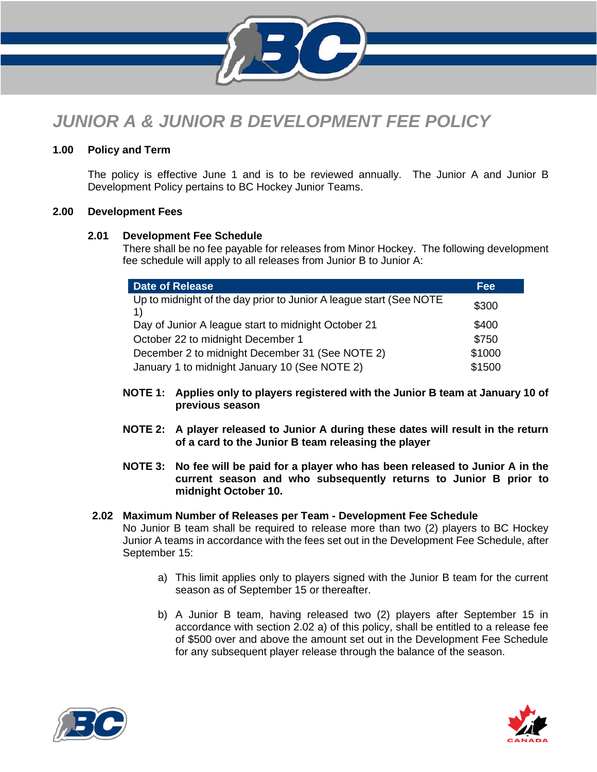

# *JUNIOR A & JUNIOR B DEVELOPMENT FEE POLICY*

# **1.00 Policy and Term**

The policy is effective June 1 and is to be reviewed annually. The Junior A and Junior B Development Policy pertains to BC Hockey Junior Teams.

# **2.00 Development Fees**

## **2.01 Development Fee Schedule**

There shall be no fee payable for releases from Minor Hockey. The following development fee schedule will apply to all releases from Junior B to Junior A:

| <b>Date of Release</b>                                             | <b>Fee</b> |
|--------------------------------------------------------------------|------------|
| Up to midnight of the day prior to Junior A league start (See NOTE | \$300      |
| Day of Junior A league start to midnight October 21                | \$400      |
| October 22 to midnight December 1                                  | \$750      |
| December 2 to midnight December 31 (See NOTE 2)                    | \$1000     |
| January 1 to midnight January 10 (See NOTE 2)                      | \$1500     |

- **NOTE 1: Applies only to players registered with the Junior B team at January 10 of previous season**
- **NOTE 2: A player released to Junior A during these dates will result in the return of a card to the Junior B team releasing the player**
- **NOTE 3: No fee will be paid for a player who has been released to Junior A in the current season and who subsequently returns to Junior B prior to midnight October 10.**
- **2.02 Maximum Number of Releases per Team - Development Fee Schedule** No Junior B team shall be required to release more than two (2) players to BC Hockey Junior A teams in accordance with the fees set out in the Development Fee Schedule, after September 15:
	- a) This limit applies only to players signed with the Junior B team for the current season as of September 15 or thereafter.
	- b) A Junior B team, having released two (2) players after September 15 in accordance with section 2.02 a) of this policy, shall be entitled to a release fee of \$500 over and above the amount set out in the Development Fee Schedule for any subsequent player release through the balance of the season.



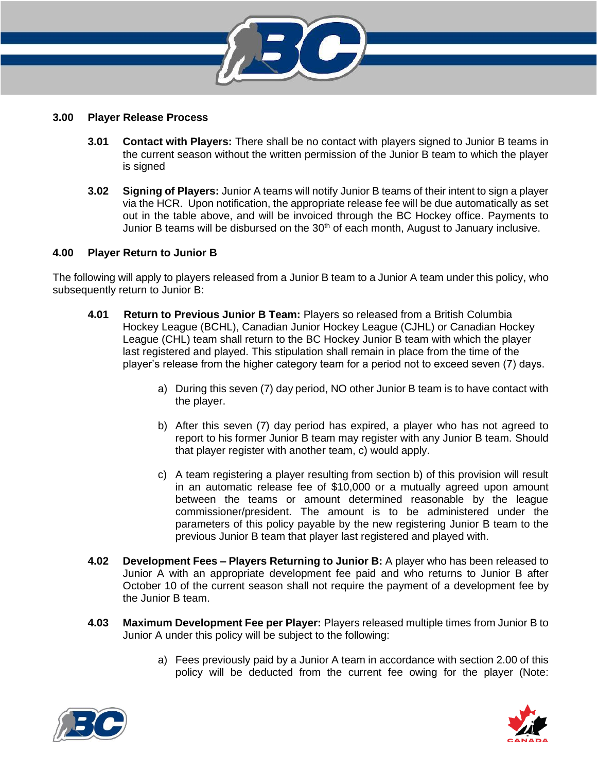

#### **3.00 Player Release Process**

- **3.01 Contact with Players:** There shall be no contact with players signed to Junior B teams in the current season without the written permission of the Junior B team to which the player is signed
- **3.02 Signing of Players:** Junior A teams will notify Junior B teams of their intent to sign a player via the HCR. Upon notification, the appropriate release fee will be due automatically as set out in the table above, and will be invoiced through the BC Hockey office. Payments to Junior B teams will be disbursed on the 30<sup>th</sup> of each month, August to January inclusive.

## **4.00 Player Return to Junior B**

The following will apply to players released from a Junior B team to a Junior A team under this policy, who subsequently return to Junior B:

- **4.01 Return to Previous Junior B Team:** Players so released from a British Columbia Hockey League (BCHL), Canadian Junior Hockey League (CJHL) or Canadian Hockey League (CHL) team shall return to the BC Hockey Junior B team with which the player last registered and played. This stipulation shall remain in place from the time of the player's release from the higher category team for a period not to exceed seven (7) days.
	- a) During this seven (7) day period, NO other Junior B team is to have contact with the player.
	- b) After this seven (7) day period has expired, a player who has not agreed to report to his former Junior B team may register with any Junior B team. Should that player register with another team, c) would apply.
	- c) A team registering a player resulting from section b) of this provision will result in an automatic release fee of \$10,000 or a mutually agreed upon amount between the teams or amount determined reasonable by the league commissioner/president. The amount is to be administered under the parameters of this policy payable by the new registering Junior B team to the previous Junior B team that player last registered and played with.
- **4.02 Development Fees – Players Returning to Junior B:** A player who has been released to Junior A with an appropriate development fee paid and who returns to Junior B after October 10 of the current season shall not require the payment of a development fee by the Junior B team.
- **4.03 Maximum Development Fee per Player:** Players released multiple times from Junior B to Junior A under this policy will be subject to the following:
	- a) Fees previously paid by a Junior A team in accordance with section 2.00 of this policy will be deducted from the current fee owing for the player (Note: